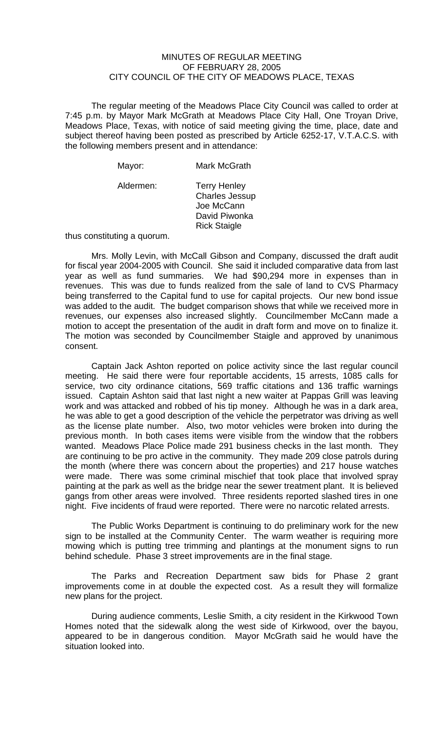## MINUTES OF REGULAR MEETING OF FEBRUARY 28, 2005 CITY COUNCIL OF THE CITY OF MEADOWS PLACE, TEXAS

The regular meeting of the Meadows Place City Council was called to order at 7:45 p.m. by Mayor Mark McGrath at Meadows Place City Hall, One Troyan Drive, Meadows Place, Texas, with notice of said meeting giving the time, place, date and subject thereof having been posted as prescribed by Article 6252-17, V.T.A.C.S. with the following members present and in attendance:

| Mayor:    | Mark McGrath                                                                                       |
|-----------|----------------------------------------------------------------------------------------------------|
| Aldermen: | <b>Terry Henley</b><br><b>Charles Jessup</b><br>Joe McCann<br>David Piwonka<br><b>Rick Staigle</b> |

thus constituting a quorum.

 Mrs. Molly Levin, with McCall Gibson and Company, discussed the draft audit for fiscal year 2004-2005 with Council. She said it included comparative data from last year as well as fund summaries. We had \$90,294 more in expenses than in revenues. This was due to funds realized from the sale of land to CVS Pharmacy being transferred to the Capital fund to use for capital projects. Our new bond issue was added to the audit. The budget comparison shows that while we received more in revenues, our expenses also increased slightly. Councilmember McCann made a motion to accept the presentation of the audit in draft form and move on to finalize it. The motion was seconded by Councilmember Staigle and approved by unanimous consent.

 Captain Jack Ashton reported on police activity since the last regular council meeting. He said there were four reportable accidents, 15 arrests, 1085 calls for service, two city ordinance citations, 569 traffic citations and 136 traffic warnings issued. Captain Ashton said that last night a new waiter at Pappas Grill was leaving work and was attacked and robbed of his tip money. Although he was in a dark area, he was able to get a good description of the vehicle the perpetrator was driving as well as the license plate number. Also, two motor vehicles were broken into during the previous month. In both cases items were visible from the window that the robbers wanted. Meadows Place Police made 291 business checks in the last month. They are continuing to be pro active in the community. They made 209 close patrols during the month (where there was concern about the properties) and 217 house watches were made. There was some criminal mischief that took place that involved spray painting at the park as well as the bridge near the sewer treatment plant. It is believed gangs from other areas were involved. Three residents reported slashed tires in one night. Five incidents of fraud were reported. There were no narcotic related arrests.

 The Public Works Department is continuing to do preliminary work for the new sign to be installed at the Community Center. The warm weather is requiring more mowing which is putting tree trimming and plantings at the monument signs to run behind schedule. Phase 3 street improvements are in the final stage.

 The Parks and Recreation Department saw bids for Phase 2 grant improvements come in at double the expected cost. As a result they will formalize new plans for the project.

During audience comments, Leslie Smith, a city resident in the Kirkwood Town Homes noted that the sidewalk along the west side of Kirkwood, over the bayou, appeared to be in dangerous condition. Mayor McGrath said he would have the situation looked into.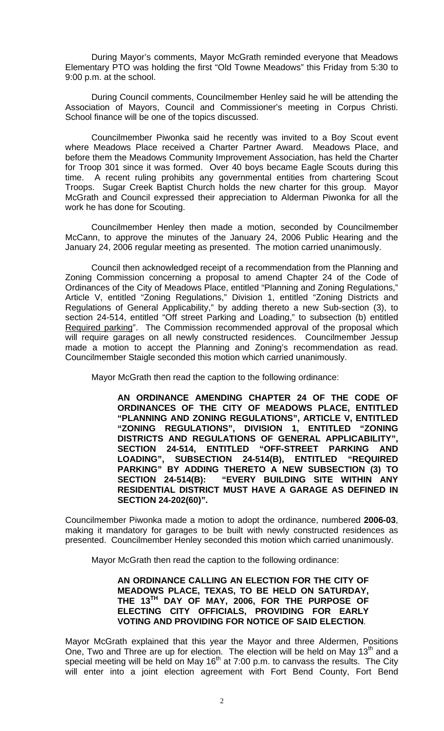During Mayor's comments, Mayor McGrath reminded everyone that Meadows Elementary PTO was holding the first "Old Towne Meadows" this Friday from 5:30 to 9:00 p.m. at the school.

During Council comments, Councilmember Henley said he will be attending the Association of Mayors, Council and Commissioner's meeting in Corpus Christi. School finance will be one of the topics discussed.

Councilmember Piwonka said he recently was invited to a Boy Scout event where Meadows Place received a Charter Partner Award. Meadows Place, and before them the Meadows Community Improvement Association, has held the Charter for Troop 301 since it was formed. Over 40 boys became Eagle Scouts during this time. A recent ruling prohibits any governmental entities from chartering Scout Troops. Sugar Creek Baptist Church holds the new charter for this group. Mayor McGrath and Council expressed their appreciation to Alderman Piwonka for all the work he has done for Scouting.

Councilmember Henley then made a motion, seconded by Councilmember McCann, to approve the minutes of the January 24, 2006 Public Hearing and the January 24, 2006 regular meeting as presented. The motion carried unanimously.

Council then acknowledged receipt of a recommendation from the Planning and Zoning Commission concerning a proposal to amend Chapter 24 of the Code of Ordinances of the City of Meadows Place, entitled "Planning and Zoning Regulations," Article V, entitled "Zoning Regulations," Division 1, entitled "Zoning Districts and Regulations of General Applicability," by adding thereto a new Sub-section (3), to section 24-514, entitled "Off street Parking and Loading," to subsection (b) entitled Required parking". The Commission recommended approval of the proposal which will require garages on all newly constructed residences. Councilmember Jessup made a motion to accept the Planning and Zoning's recommendation as read. Councilmember Staigle seconded this motion which carried unanimously.

Mayor McGrath then read the caption to the following ordinance:

**AN ORDINANCE AMENDING CHAPTER 24 OF THE CODE OF ORDINANCES OF THE CITY OF MEADOWS PLACE, ENTITLED "PLANNING AND ZONING REGULATIONS", ARTICLE V, ENTITLED "ZONING REGULATIONS", DIVISION 1, ENTITLED "ZONING DISTRICTS AND REGULATIONS OF GENERAL APPLICABILITY", ENTITLED "OFF-STREET PARKING AND LOADING", SUBSECTION 24-514(B), ENTITLED "REQUIRED PARKING" BY ADDING THERETO A NEW SUBSECTION (3) TO SECTION 24-514(B): "EVERY BUILDING SITE WITHIN ANY RESIDENTIAL DISTRICT MUST HAVE A GARAGE AS DEFINED IN SECTION 24-202(60)".** 

Councilmember Piwonka made a motion to adopt the ordinance, numbered **2006-03**, making it mandatory for garages to be built with newly constructed residences as presented. Councilmember Henley seconded this motion which carried unanimously.

Mayor McGrath then read the caption to the following ordinance:

**AN ORDINANCE CALLING AN ELECTION FOR THE CITY OF MEADOWS PLACE, TEXAS, TO BE HELD ON SATURDAY, THE 13TH DAY OF MAY, 2006, FOR THE PURPOSE OF ELECTING CITY OFFICIALS, PROVIDING FOR EARLY VOTING AND PROVIDING FOR NOTICE OF SAID ELECTION**.

Mayor McGrath explained that this year the Mayor and three Aldermen, Positions One, Two and Three are up for election. The election will be held on May  $13<sup>th</sup>$  and a special meeting will be held on May  $16<sup>th</sup>$  at 7:00 p.m. to canvass the results. The City will enter into a joint election agreement with Fort Bend County, Fort Bend